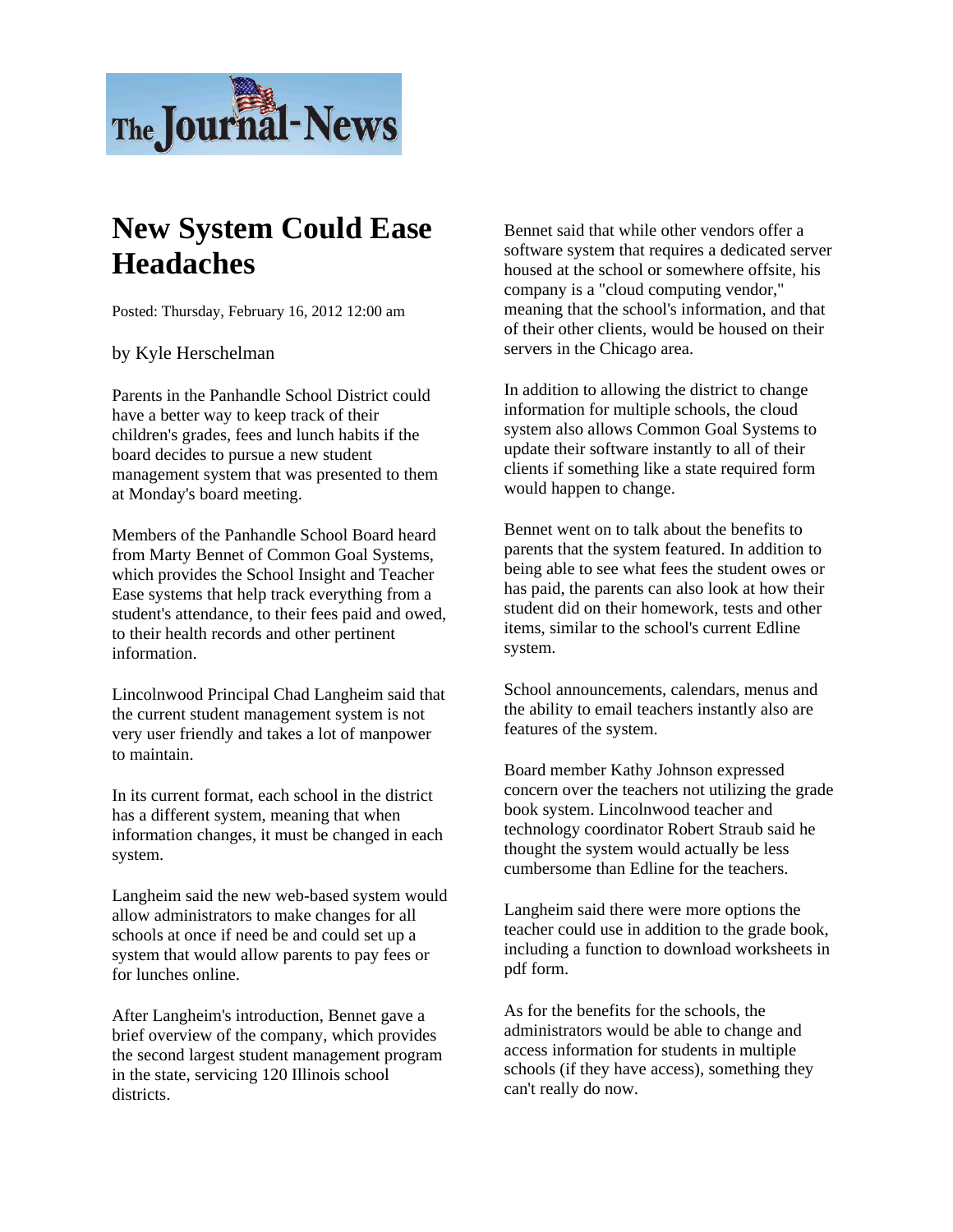

## **New System Could Ease Headaches**

Posted: Thursday, February 16, 2012 12:00 am

by Kyle Herschelman

Parents in the Panhandle School District could have a better way to keep track of their children's grades, fees and lunch habits if the board decides to pursue a new student management system that was presented to them at Monday's board meeting.

Members of the Panhandle School Board heard from Marty Bennet of Common Goal Systems, which provides the School Insight and Teacher Ease systems that help track everything from a student's attendance, to their fees paid and owed, to their health records and other pertinent information.

Lincolnwood Principal Chad Langheim said that the current student management system is not very user friendly and takes a lot of manpower to maintain.

In its current format, each school in the district has a different system, meaning that when information changes, it must be changed in each system.

Langheim said the new web-based system would allow administrators to make changes for all schools at once if need be and could set up a system that would allow parents to pay fees or for lunches online.

After Langheim's introduction, Bennet gave a brief overview of the company, which provides the second largest student management program in the state, servicing 120 Illinois school districts.

Bennet said that while other vendors offer a software system that requires a dedicated server housed at the school or somewhere offsite, his company is a "cloud computing vendor," meaning that the school's information, and that of their other clients, would be housed on their servers in the Chicago area.

In addition to allowing the district to change information for multiple schools, the cloud system also allows Common Goal Systems to update their software instantly to all of their clients if something like a state required form would happen to change.

Bennet went on to talk about the benefits to parents that the system featured. In addition to being able to see what fees the student owes or has paid, the parents can also look at how their student did on their homework, tests and other items, similar to the school's current Edline system.

School announcements, calendars, menus and the ability to email teachers instantly also are features of the system.

Board member Kathy Johnson expressed concern over the teachers not utilizing the grade book system. Lincolnwood teacher and technology coordinator Robert Straub said he thought the system would actually be less cumbersome than Edline for the teachers.

Langheim said there were more options the teacher could use in addition to the grade book, including a function to download worksheets in pdf form.

As for the benefits for the schools, the administrators would be able to change and access information for students in multiple schools (if they have access), something they can't really do now.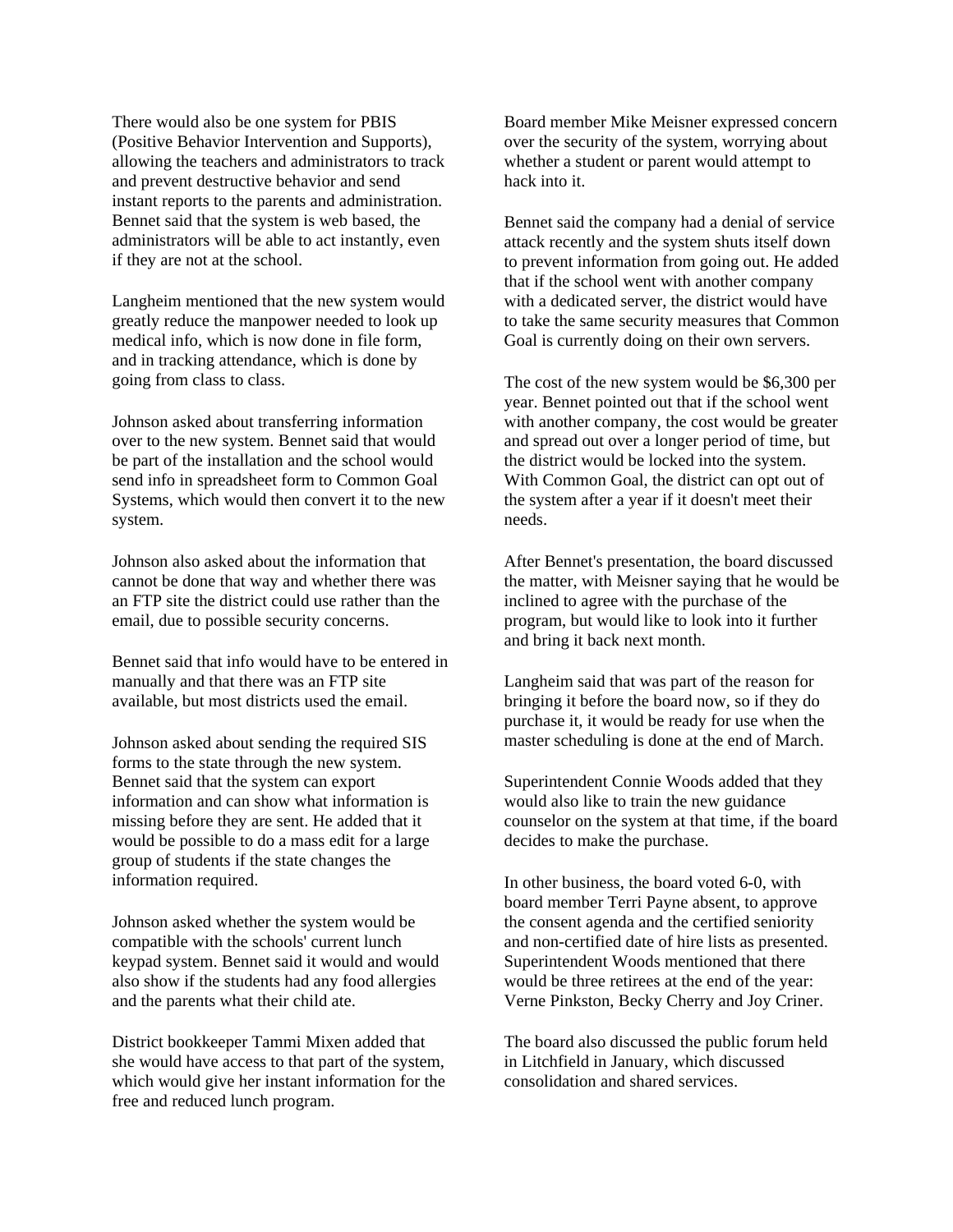There would also be one system for PBIS (Positive Behavior Intervention and Supports), allowing the teachers and administrators to track and prevent destructive behavior and send instant reports to the parents and administration. Bennet said that the system is web based, the administrators will be able to act instantly, even if they are not at the school.

Langheim mentioned that the new system would greatly reduce the manpower needed to look up medical info, which is now done in file form, and in tracking attendance, which is done by going from class to class.

Johnson asked about transferring information over to the new system. Bennet said that would be part of the installation and the school would send info in spreadsheet form to Common Goal Systems, which would then convert it to the new system.

Johnson also asked about the information that cannot be done that way and whether there was an FTP site the district could use rather than the email, due to possible security concerns.

Bennet said that info would have to be entered in manually and that there was an FTP site available, but most districts used the email.

Johnson asked about sending the required SIS forms to the state through the new system. Bennet said that the system can export information and can show what information is missing before they are sent. He added that it would be possible to do a mass edit for a large group of students if the state changes the information required.

Johnson asked whether the system would be compatible with the schools' current lunch keypad system. Bennet said it would and would also show if the students had any food allergies and the parents what their child ate.

District bookkeeper Tammi Mixen added that she would have access to that part of the system, which would give her instant information for the free and reduced lunch program.

Board member Mike Meisner expressed concern over the security of the system, worrying about whether a student or parent would attempt to hack into it.

Bennet said the company had a denial of service attack recently and the system shuts itself down to prevent information from going out. He added that if the school went with another company with a dedicated server, the district would have to take the same security measures that Common Goal is currently doing on their own servers.

The cost of the new system would be \$6,300 per year. Bennet pointed out that if the school went with another company, the cost would be greater and spread out over a longer period of time, but the district would be locked into the system. With Common Goal, the district can opt out of the system after a year if it doesn't meet their needs.

After Bennet's presentation, the board discussed the matter, with Meisner saying that he would be inclined to agree with the purchase of the program, but would like to look into it further and bring it back next month.

Langheim said that was part of the reason for bringing it before the board now, so if they do purchase it, it would be ready for use when the master scheduling is done at the end of March.

Superintendent Connie Woods added that they would also like to train the new guidance counselor on the system at that time, if the board decides to make the purchase.

In other business, the board voted 6-0, with board member Terri Payne absent, to approve the consent agenda and the certified seniority and non-certified date of hire lists as presented. Superintendent Woods mentioned that there would be three retirees at the end of the year: Verne Pinkston, Becky Cherry and Joy Criner.

The board also discussed the public forum held in Litchfield in January, which discussed consolidation and shared services.